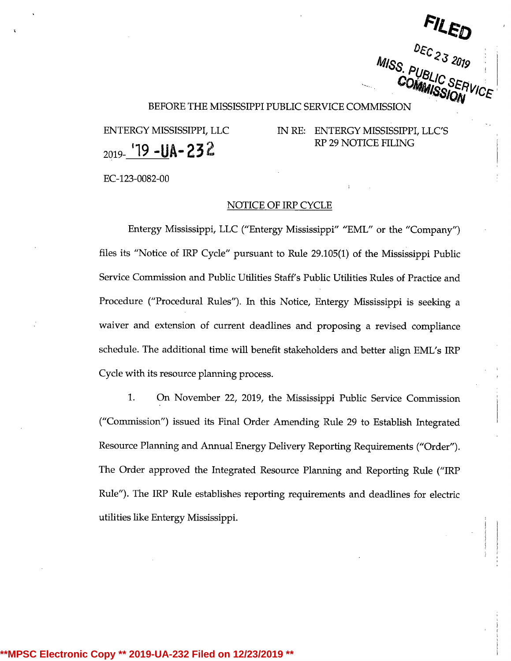BEFORE THE MISSISSIPPI PUBLIC SERVICE COMMISSION

 $_{2019}$ -19 -UA-232

ENTERGY MISSISSIPPI, LLC IN RE: ENTERGY MISSISSIPPI, LLC'S <sup>r</sup> RP 29 NOTICE FILING

EC-123-0082-00

## NOTICE OF IRP CYCLE

Entergy Mississippi, LLC ("Entergy Mississippi" "EML" or the "Company") files its "Notice of IRP Cycle" pursuant to Rule 29.105(1) of the Mississippi Public Service Commission and Public Utilities Staff's Public Utilities Rules of Practice and Procedure ("Procedural Rules"). In this Notice, Entergy Mississippi is seeking <sup>a</sup> waiver and extension of current deadlines and proposing <sup>a</sup> revised compliance schedule. The additional time will benefit stakeholders and better align EML's IRP Cycle with its resource planning process.

1. On November 22, 2019, the Mississippi Public Service Commission ("Commission") issued its Final Order Amending Rule 29 to Establish Integrated Resource Planning and Annual Energy Delivery Reporting Requirements ("Order"). The Order approved the Integrated Resource Planning and Reporting Rule ("IRP Rule"). The IRP Rule establishes reporting requirements and deadlines for electric utilities like Entergy Mississippi.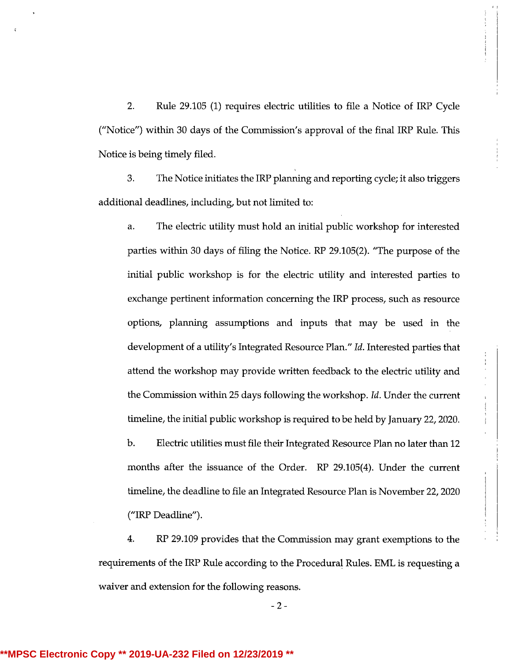2. Rule 29.105 (1) requires electric utilities to file a Notice of IRP Cycle ("Notice") within 30 days of the Commission's approval of the final IRP Rule. This Notice is being timely filed.

3. The Notice initiates the IRP planning and reporting cycle; it also triggers additional deadlines, including, but not limited to:

a. The electric utility must hold an initial public workshop for interested parties within 30 days of filing the Notice. RP 29.105(2). "The purpose of the initial public workshop is for the electric utility and interested parties to exchange pertinent information concerning the IRP process, such as resource options, planning assumptions and inputs that may be used in the development of a utility's Integrated Resource Plan." Id. Interested parties that attend the workshop may provide written feedback to the electric utility and the Commission within 25 days following the workshop. Id. Under the current timeline, the initial public workshop is required to be held by January 22, 2020. b. Electric utilities must file their Integrated Resource Plan no later than 12 months after the issuance of the Order. RP 29.105(4). Under the current timeline, the deadline to file an Integrated Resource Plan is November 22, 2020 ("IRP Deadline").

4. RP 29.109 provides that the Commission may grant exemptions to the requirements of the IRP Rule according to the Procedural Rules. EML is requesting a waiver and extension for the following reasons.

- 2 -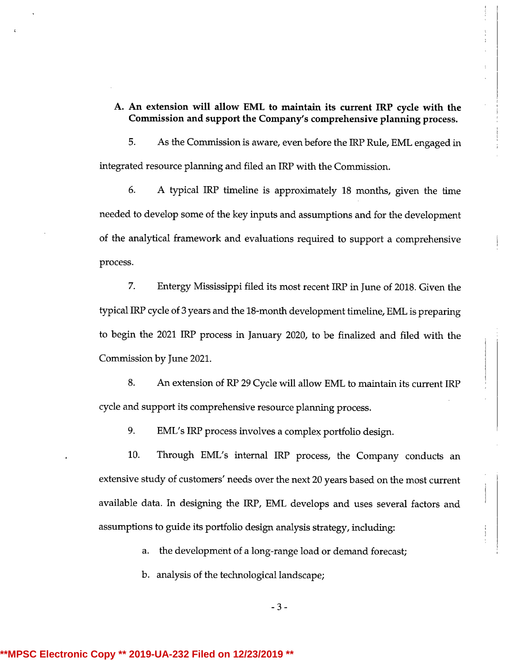# A. An extension will allow EML to maintain its current IRP cycle with the Commission and support the Company's comprehensive planning process.

5. As the Commission is aware, even before the IRP Rule,EML engaged in integrated resource planning and filed an IRP with the Commission.

6. A typical IRP timeline is approximately<sup>18</sup> months, given the time needed to develop some of the key inputsand assumptions and for the development of the analytical framework and evaluations required to support <sup>a</sup> comprehensive process.

7. Entergy Mississippi filed its most recent IRP in June of 2018. Given the typical IRP cycle of 3 years and the 18-month development timeline, EML is preparing to begin the 2021 IRP process in January 2020, to be finalized and filed with the Commission by June 2021.

8. An extension of RP 29 Cycle will allow EML to maintain its current IRP cycle and support its comprehensive resource planning process.

9. EML's IRP process involves a complex portfolio design.

10. Through EML's internal IRP process, the Company conducts an extensive study of customers' needs over the next 20 years based on the most current available data. In designing the IRP, EML develops and uses several factors and assumptions to guide its portfolio design analysis strategy, including:

a. the development of a long-range load or demand forecast;

b. analysis of the technological landscape;

- 3 -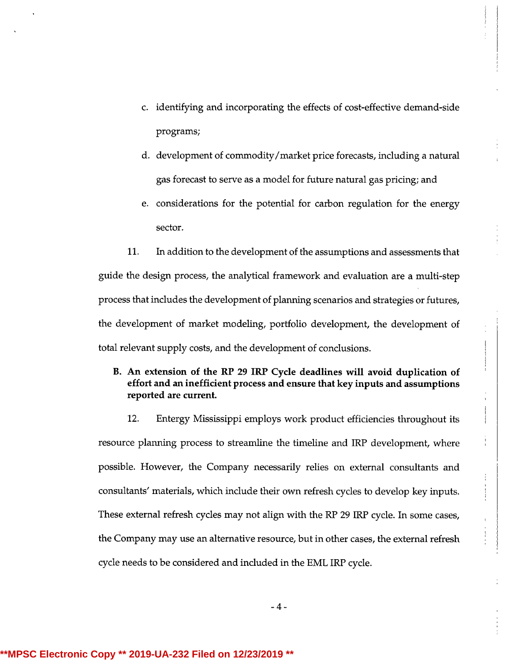- c. identifying and incorporating the effects of cost-effective demand-side programs;
- d. development of commodity/market price forecasts, including a natural gas forecast to serve as <sup>a</sup> model for future natural gas pricing; and
- e. considerations for the potential for carbon regulation for the energy sector.

11. In addition to the development of the assumptions and assessments that guide the design process, the analytical framework and evaluation are <sup>a</sup> multi-step process that includes the development of planning scenarios and strategies or futures, the development of market modeling, portfolio development, the development of total relevant supply costs, and the development of conclusions.

# B. An extension of the RP 29 IRP Cycle deadlines will avoid duplication of effort and an inefficient process and ensure that key inputs and assumptions reported are current.

12. Entergy Mississippi employs work product efficiencies throughout its resource planning process to streamline the timeline and IRP development, where possible. However, the Company necessarily relies on external consultants and consultants' materials, which include their own refresh cycles to develop key inputs. These external refresh cycles may not alignwith the RP 29 IRP cycle. In some cases, the Company may use an alternative resource, but in other cases, the external refresh cycle needs to be considered and included in the EML IRP cycle.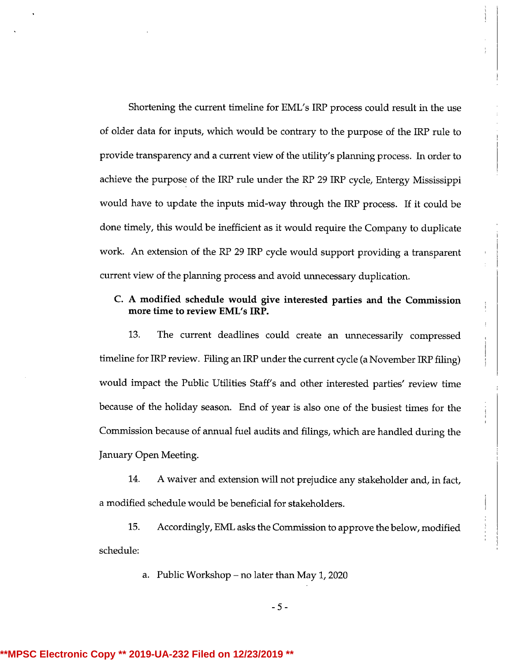Shortening the current timeline for EML's IRP process could result in the use of older data for inputs, which would be contrary to the purpose of the IRP rule to provide transparency and a current view of the utility's planning process. In order to achieve the purpose of the IRP rule under the RP 29 IRP cycle, Entergy Mississippi would have to update the inputs mid-way through the IRP process. If it could be done timely, this would be inefficient as it would require the Company to duplicate work. An extension of the RP 29 IRP cycle would support providing a transparent current view of the planning process and avoid unnecessary duplication.

# C. A modified schedule would give interested parties and the Commission more time to review EML's IRP.

I

13. The current deadlines could create an unnecessarily compressed timeline for IRP review. Filing an IRP under the current cycle (a November IRP filing) would impact the Public Utilities Staff's and other interested parties' review time because of the holiday season. End of year is also one of the busiest times for the Commission because of annual fuel audits and filings, which are handled during the January Open Meeting.

14. A waiver and extension will not prejudice any stakeholder and, in fact, <sup>a</sup> modified schedule would be beneficial for stakeholders.

15. Accordingly, EML asks the Commission to approve the below, modified schedule:

a. Public Workshop – no later than May 1, 2020

- 5 -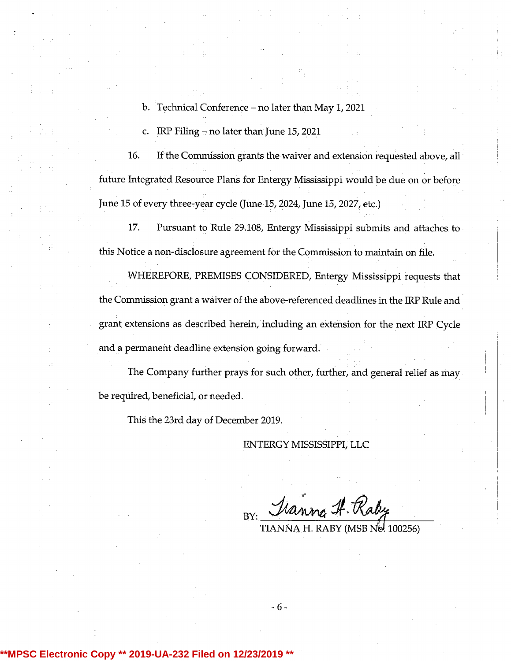- b. Technical Conference no later than May 1, 2021
- c. IRP Filing  $-$  no later than June 15, 2021

16. If the Commission grants the waiver and extension requested above, all future Integrated Resource Plans for Entergy Mississippi would be due on or before June 15 of every three-year cycle (June 15, 2024, June 15, 2027, etc.)

17. Pursuant to Rule 29.108, Entergy Mississippi submits and attaches to this Notice a non-disclosure agreement for the Commission to maintain on file.

WHEREFORE, PREMISES CONSIDERED, Entergy Mississippi requests that the Commission grant <sup>a</sup> waiver of the above-referenced deadlines in the IRP Rule and grant extensions as described herein, including an extension for the next IRP Cycle and a permanent deadline extension going forward.

The Company further prays for such other, further, and general relief as may be required, beneficial, or needed.

This the 23rd day of December 2019.

ENTERGY MISSISSIPPI, LLC

Tranna H. Raby BY:

TIANNA H. RABY (MSB No. 100256)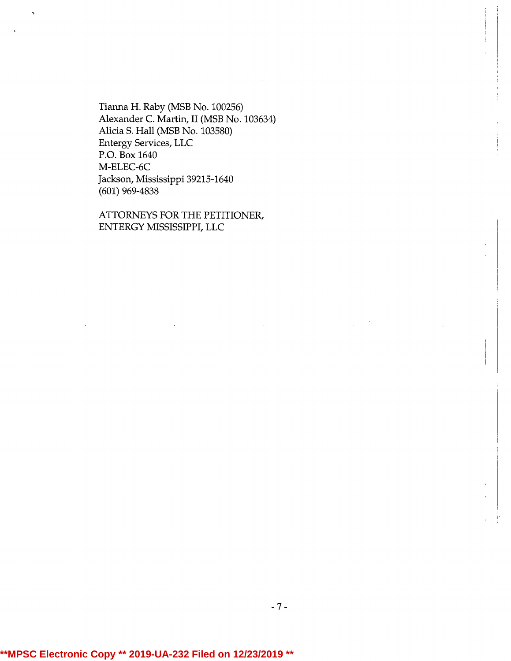Tianna H. Raby (MSB No. 100256) Alexander C. Martin, II (MSB No. 103634) Alicia S. Hall (MSB No. 103580) Entergy Services, LLC P.O. Box 1640 M-ELEC-6C Jackson, Mississippi39215-1640 (601) 969-4838

ATTORNEYS FOR THE PETITIONER, ENTERGY MISSISSIPPI, LLC

-7 -